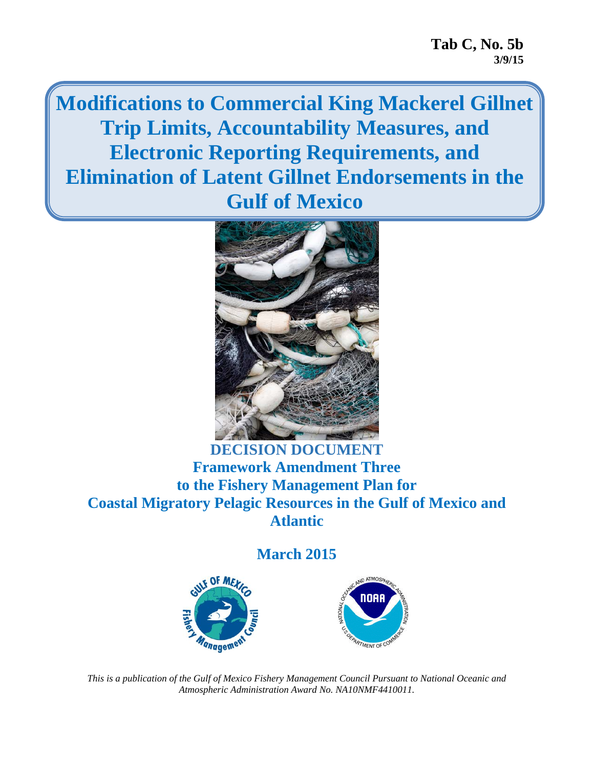**Modifications to Commercial King Mackerel Gillnet Trip Limits, Accountability Measures, and Electronic Reporting Requirements, and Elimination of Latent Gillnet Endorsements in the Gulf of Mexico** 



## **DECISION DOCUMENT Framework Amendment Three to the Fishery Management Plan for Coastal Migratory Pelagic Resources in the Gulf of Mexico and Atlantic**

#### **March 2015**





*This is a publication of the Gulf of Mexico Fishery Management Council Pursuant to National Oceanic and Atmospheric Administration Award No. NA10NMF4410011.*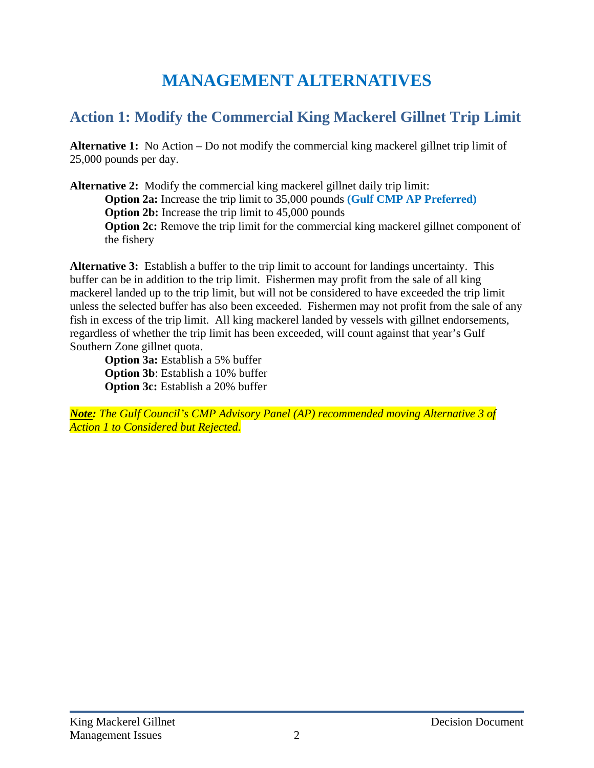# **MANAGEMENT ALTERNATIVES**

## **Action 1: Modify the Commercial King Mackerel Gillnet Trip Limit**

**Alternative 1:** No Action – Do not modify the commercial king mackerel gillnet trip limit of 25,000 pounds per day.

**Alternative 2:** Modify the commercial king mackerel gillnet daily trip limit: **Option 2a:** Increase the trip limit to 35,000 pounds **(Gulf CMP AP Preferred) Option 2b:** Increase the trip limit to 45,000 pounds **Option 2c:** Remove the trip limit for the commercial king mackerel gillnet component of the fishery

**Alternative 3:** Establish a buffer to the trip limit to account for landings uncertainty. This buffer can be in addition to the trip limit. Fishermen may profit from the sale of all king mackerel landed up to the trip limit, but will not be considered to have exceeded the trip limit unless the selected buffer has also been exceeded. Fishermen may not profit from the sale of any fish in excess of the trip limit. All king mackerel landed by vessels with gillnet endorsements, regardless of whether the trip limit has been exceeded, will count against that year's Gulf Southern Zone gillnet quota.

**Option 3a:** Establish a 5% buffer **Option 3b**: Establish a 10% buffer **Option 3c:** Establish a 20% buffer

*Note: The Gulf Council's CMP Advisory Panel (AP) recommended moving Alternative 3 of Action 1 to Considered but Rejected.*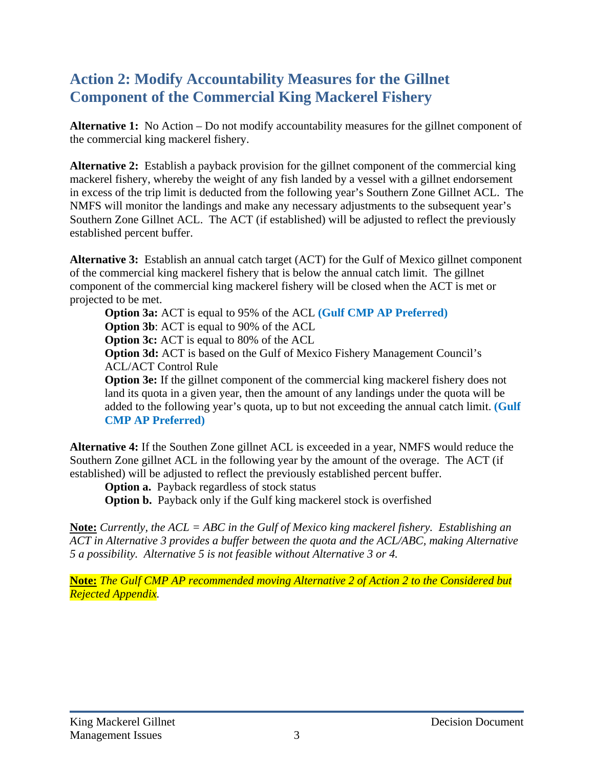## **Action 2: Modify Accountability Measures for the Gillnet Component of the Commercial King Mackerel Fishery**

**Alternative 1:** No Action – Do not modify accountability measures for the gillnet component of the commercial king mackerel fishery.

**Alternative 2:** Establish a payback provision for the gillnet component of the commercial king mackerel fishery, whereby the weight of any fish landed by a vessel with a gillnet endorsement in excess of the trip limit is deducted from the following year's Southern Zone Gillnet ACL. The NMFS will monitor the landings and make any necessary adjustments to the subsequent year's Southern Zone Gillnet ACL. The ACT (if established) will be adjusted to reflect the previously established percent buffer.

**Alternative 3:** Establish an annual catch target (ACT) for the Gulf of Mexico gillnet component of the commercial king mackerel fishery that is below the annual catch limit. The gillnet component of the commercial king mackerel fishery will be closed when the ACT is met or projected to be met.

**Option 3a:** ACT is equal to 95% of the ACL **(Gulf CMP AP Preferred) Option 3b**: ACT is equal to 90% of the ACL

**Option 3c:** ACT is equal to 80% of the ACL

**Option 3d:** ACT is based on the Gulf of Mexico Fishery Management Council's ACL/ACT Control Rule

**Option 3e:** If the gillnet component of the commercial king mackerel fishery does not land its quota in a given year, then the amount of any landings under the quota will be added to the following year's quota, up to but not exceeding the annual catch limit. **(Gulf CMP AP Preferred)**

**Alternative 4:** If the Southen Zone gillnet ACL is exceeded in a year, NMFS would reduce the Southern Zone gillnet ACL in the following year by the amount of the overage. The ACT (if established) will be adjusted to reflect the previously established percent buffer.

**Option a.** Payback regardless of stock status

**Option b.** Payback only if the Gulf king mackerel stock is overfished

**Note:** *Currently, the ACL = ABC in the Gulf of Mexico king mackerel fishery. Establishing an ACT in Alternative 3 provides a buffer between the quota and the ACL/ABC, making Alternative 5 a possibility. Alternative 5 is not feasible without Alternative 3 or 4.* 

**Note:** *The Gulf CMP AP recommended moving Alternative 2 of Action 2 to the Considered but Rejected Appendix.*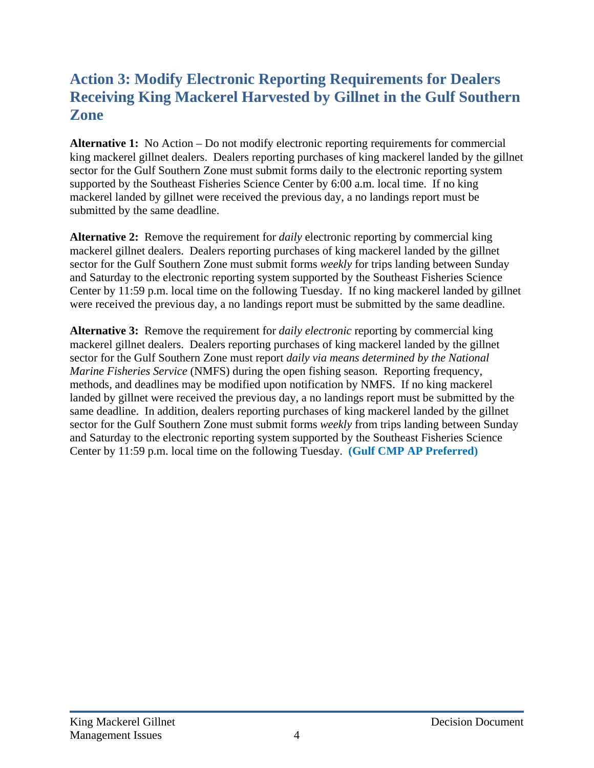### **Action 3: Modify Electronic Reporting Requirements for Dealers Receiving King Mackerel Harvested by Gillnet in the Gulf Southern Zone**

**Alternative 1:** No Action – Do not modify electronic reporting requirements for commercial king mackerel gillnet dealers. Dealers reporting purchases of king mackerel landed by the gillnet sector for the Gulf Southern Zone must submit forms daily to the electronic reporting system supported by the Southeast Fisheries Science Center by 6:00 a.m. local time. If no king mackerel landed by gillnet were received the previous day, a no landings report must be submitted by the same deadline.

**Alternative 2:** Remove the requirement for *daily* electronic reporting by commercial king mackerel gillnet dealers. Dealers reporting purchases of king mackerel landed by the gillnet sector for the Gulf Southern Zone must submit forms *weekly* for trips landing between Sunday and Saturday to the electronic reporting system supported by the Southeast Fisheries Science Center by 11:59 p.m. local time on the following Tuesday. If no king mackerel landed by gillnet were received the previous day, a no landings report must be submitted by the same deadline.

**Alternative 3:** Remove the requirement for *daily electronic* reporting by commercial king mackerel gillnet dealers. Dealers reporting purchases of king mackerel landed by the gillnet sector for the Gulf Southern Zone must report *daily via means determined by the National Marine Fisheries Service* (NMFS) during the open fishing season. Reporting frequency, methods, and deadlines may be modified upon notification by NMFS. If no king mackerel landed by gillnet were received the previous day, a no landings report must be submitted by the same deadline. In addition, dealers reporting purchases of king mackerel landed by the gillnet sector for the Gulf Southern Zone must submit forms *weekly* from trips landing between Sunday and Saturday to the electronic reporting system supported by the Southeast Fisheries Science Center by 11:59 p.m. local time on the following Tuesday. **(Gulf CMP AP Preferred)**